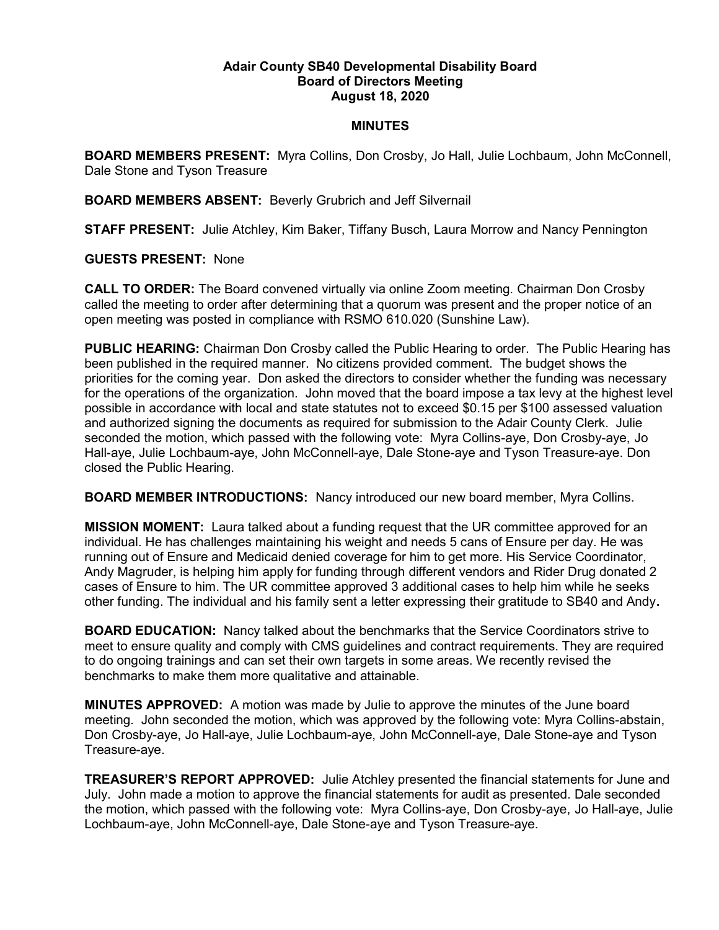## Adair County SB40 Developmental Disability Board Board of Directors Meeting August 18, 2020

## MINUTES

BOARD MEMBERS PRESENT: Myra Collins, Don Crosby, Jo Hall, Julie Lochbaum, John McConnell, Dale Stone and Tyson Treasure

BOARD MEMBERS ABSENT: Beverly Grubrich and Jeff Silvernail

STAFF PRESENT: Julie Atchley, Kim Baker, Tiffany Busch, Laura Morrow and Nancy Pennington

## GUESTS PRESENT: None

CALL TO ORDER: The Board convened virtually via online Zoom meeting. Chairman Don Crosby called the meeting to order after determining that a quorum was present and the proper notice of an open meeting was posted in compliance with RSMO 610.020 (Sunshine Law).

PUBLIC HEARING: Chairman Don Crosby called the Public Hearing to order. The Public Hearing has been published in the required manner. No citizens provided comment. The budget shows the priorities for the coming year. Don asked the directors to consider whether the funding was necessary for the operations of the organization. John moved that the board impose a tax levy at the highest level possible in accordance with local and state statutes not to exceed \$0.15 per \$100 assessed valuation and authorized signing the documents as required for submission to the Adair County Clerk. Julie seconded the motion, which passed with the following vote: Myra Collins-aye, Don Crosby-aye, Jo Hall-aye, Julie Lochbaum-aye, John McConnell-aye, Dale Stone-aye and Tyson Treasure-aye. Don closed the Public Hearing.

BOARD MEMBER INTRODUCTIONS: Nancy introduced our new board member, Myra Collins.

MISSION MOMENT: Laura talked about a funding request that the UR committee approved for an individual. He has challenges maintaining his weight and needs 5 cans of Ensure per day. He was running out of Ensure and Medicaid denied coverage for him to get more. His Service Coordinator, Andy Magruder, is helping him apply for funding through different vendors and Rider Drug donated 2 cases of Ensure to him. The UR committee approved 3 additional cases to help him while he seeks other funding. The individual and his family sent a letter expressing their gratitude to SB40 and Andy.

BOARD EDUCATION: Nancy talked about the benchmarks that the Service Coordinators strive to meet to ensure quality and comply with CMS guidelines and contract requirements. They are required to do ongoing trainings and can set their own targets in some areas. We recently revised the benchmarks to make them more qualitative and attainable.

MINUTES APPROVED: A motion was made by Julie to approve the minutes of the June board meeting. John seconded the motion, which was approved by the following vote: Myra Collins-abstain, Don Crosby-aye, Jo Hall-aye, Julie Lochbaum-aye, John McConnell-aye, Dale Stone-aye and Tyson Treasure-aye.

TREASURER'S REPORT APPROVED: Julie Atchley presented the financial statements for June and July. John made a motion to approve the financial statements for audit as presented. Dale seconded the motion, which passed with the following vote: Myra Collins-aye, Don Crosby-aye, Jo Hall-aye, Julie Lochbaum-aye, John McConnell-aye, Dale Stone-aye and Tyson Treasure-aye.